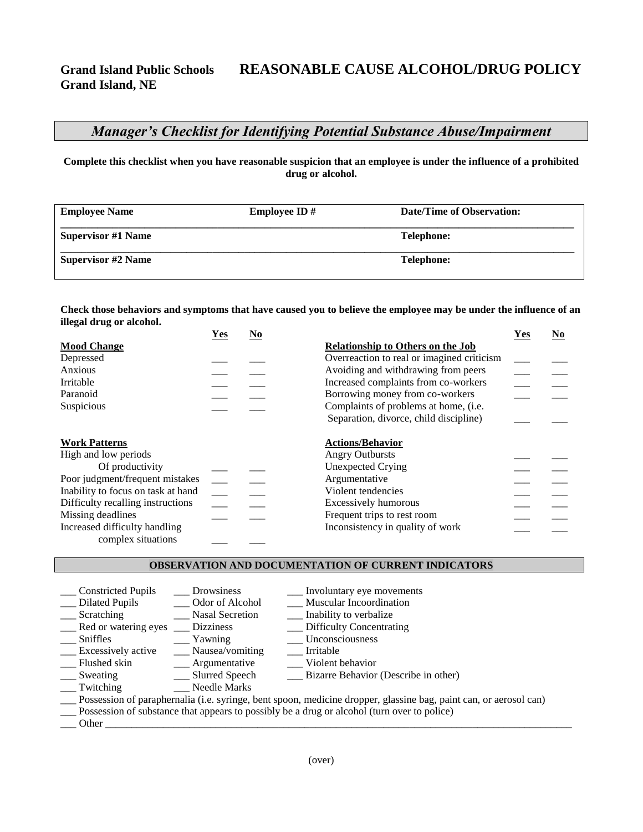# **Grand Island Public Schools REASONABLE CAUSE ALCOHOL/DRUG POLICY**

## *Manager's Checklist for Identifying Potential Substance Abuse/Impairment*

**Complete this checklist when you have reasonable suspicion that an employee is under the influence of a prohibited drug or alcohol.**

| <b>Employee Name</b>      | <b>Employee ID</b> $#$ | <b>Date/Time of Observation:</b> |
|---------------------------|------------------------|----------------------------------|
| <b>Supervisor #1 Name</b> |                        | <b>Telephone:</b>                |
| <b>Supervisor #2 Name</b> |                        | <b>Telephone:</b>                |

**Check those behaviors and symptoms that have caused you to believe the employee may be under the influence of an illegal drug or alcohol.** 

|                                                     | Yes | $\underline{\mathrm{No}}$ |                                            | Yes | $\underline{\mathrm{No}}$ |
|-----------------------------------------------------|-----|---------------------------|--------------------------------------------|-----|---------------------------|
| <b>Mood Change</b>                                  |     |                           | <b>Relationship to Others on the Job</b>   |     |                           |
| Depressed                                           |     |                           | Overreaction to real or imagined criticism |     |                           |
| Anxious                                             |     |                           | Avoiding and withdrawing from peers        |     |                           |
| Irritable                                           |     |                           | Increased complaints from co-workers       |     |                           |
| Paranoid                                            |     |                           | Borrowing money from co-workers            |     |                           |
| Suspicious                                          |     |                           | Complaints of problems at home, (i.e.      |     |                           |
|                                                     |     |                           | Separation, divorce, child discipline)     |     |                           |
| <b>Work Patterns</b>                                |     |                           | <b>Actions/Behavior</b>                    |     |                           |
| High and low periods                                |     |                           | <b>Angry Outbursts</b>                     |     |                           |
| Of productivity                                     |     |                           | <b>Unexpected Crying</b>                   |     |                           |
| Poor judgment/frequent mistakes                     |     |                           | Argumentative                              |     |                           |
| Inability to focus on task at hand                  |     |                           | Violent tendencies                         |     |                           |
| Difficulty recalling instructions                   |     |                           | Excessively humorous                       |     |                           |
| Missing deadlines                                   |     |                           | Frequent trips to rest room                |     |                           |
| Increased difficulty handling<br>complex situations |     |                           | Inconsistency in quality of work           |     |                           |

#### **OBSERVATION AND DOCUMENTATION OF CURRENT INDICATORS**

| <b>Constricted Pupils</b>                                                                                         | Drowsiness             | Involuntary eye movements            |  |  |
|-------------------------------------------------------------------------------------------------------------------|------------------------|--------------------------------------|--|--|
| Dilated Pupils                                                                                                    | Odor of Alcohol        | Muscular Incoordination              |  |  |
| Scratching                                                                                                        | <b>Nasal Secretion</b> | ___ Inability to verbalize           |  |  |
| __ Red or watering eyes                                                                                           | <b>Dizziness</b>       | __ Difficulty Concentrating          |  |  |
| Sniffles                                                                                                          | Yawning                | Unconsciousness                      |  |  |
| <b>Excessively active</b>                                                                                         | __ Nausea/vomiting     | Irritable                            |  |  |
| Flushed skin                                                                                                      | ___ Argumentative      | Violent behavior                     |  |  |
| Sweating                                                                                                          | __ Slurred Speech      | Bizarre Behavior (Describe in other) |  |  |
| Twitching                                                                                                         | Needle Marks           |                                      |  |  |
| Possession of paraphernalia (i.e. syringe, bent spoon, medicine dropper, glassine bag, paint can, or aerosol can) |                        |                                      |  |  |
| Possession of substance that appears to possibly be a drug or alcohol (turn over to police)                       |                        |                                      |  |  |
| Other                                                                                                             |                        |                                      |  |  |